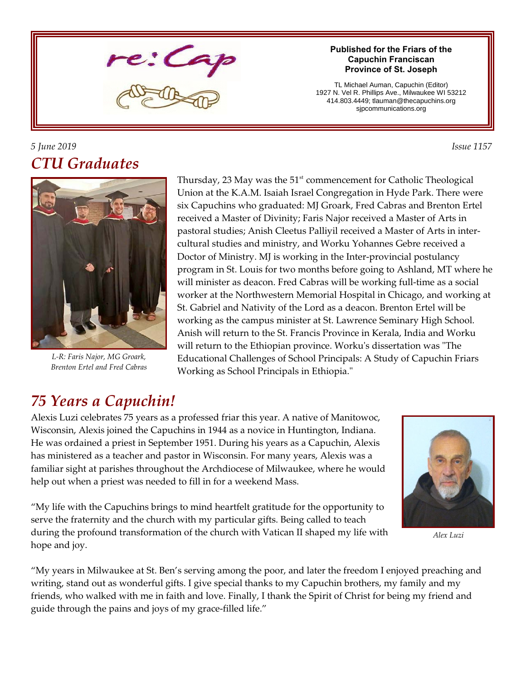

#### **Published for the Friars of the Capuchin Franciscan Province of St. Joseph**

TL Michael Auman, Capuchin (Editor) 1927 N. Vel R. Phillips Ave., Milwaukee WI 53212 414.803.4449; tlauman@thecapuchins.org sjpcommunications.org

### *5 June 2019 Issue 1157 CTU Graduates*



*L-R: Faris Najor, MG Groark, Brenton Ertel and Fred Cabras*

Thursday, 23 May was the  $51<sup>st</sup>$  commencement for Catholic Theological Union at the K.A.M. Isaiah Israel Congregation in Hyde Park. There were six Capuchins who graduated: MJ Groark, Fred Cabras and Brenton Ertel received a Master of Divinity; Faris Najor received a Master of Arts in pastoral studies; Anish Cleetus Palliyil received a Master of Arts in intercultural studies and ministry, and Worku Yohannes Gebre received a Doctor of Ministry. MJ is working in the Inter-provincial postulancy program in St. Louis for two months before going to Ashland, MT where he will minister as deacon. Fred Cabras will be working full-time as a social worker at the Northwestern Memorial Hospital in Chicago, and working at St. Gabriel and Nativity of the Lord as a deacon. Brenton Ertel will be working as the campus minister at St. Lawrence Seminary High School. Anish will return to the St. Francis Province in Kerala, India and Worku will return to the Ethiopian province. Worku's dissertation was "The Educational Challenges of School Principals: A Study of Capuchin Friars Working as School Principals in Ethiopia."

## *75 Years a Capuchin!*

Alexis Luzi celebrates 75 years as a professed friar this year. A native of Manitowoc, Wisconsin, Alexis joined the Capuchins in 1944 as a novice in Huntington, Indiana. He was ordained a priest in September 1951. During his years as a Capuchin, Alexis has ministered as a teacher and pastor in Wisconsin. For many years, Alexis was a familiar sight at parishes throughout the Archdiocese of Milwaukee, where he would help out when a priest was needed to fill in for a weekend Mass.



*Alex Luzi*

"My life with the Capuchins brings to mind heartfelt gratitude for the opportunity to serve the fraternity and the church with my particular gifts. Being called to teach during the profound transformation of the church with Vatican II shaped my life with hope and joy.

"My years in Milwaukee at St. Ben's serving among the poor, and later the freedom I enjoyed preaching and writing, stand out as wonderful gifts. I give special thanks to my Capuchin brothers, my family and my friends, who walked with me in faith and love. Finally, I thank the Spirit of Christ for being my friend and guide through the pains and joys of my grace-filled life."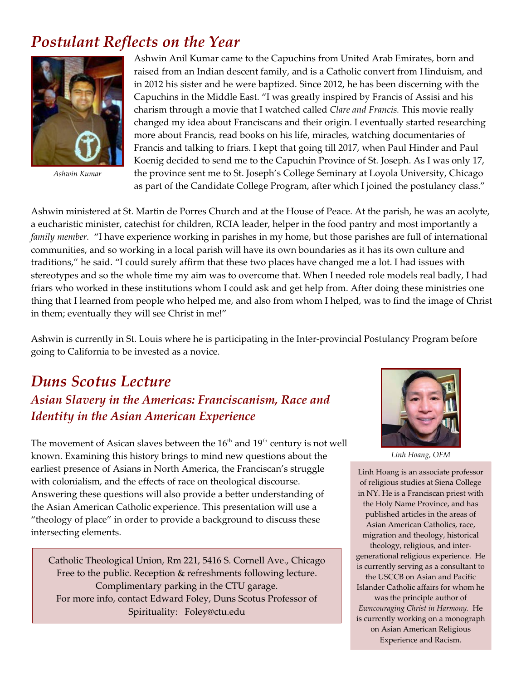# *Postulant Reflects on the Year*



*Ashwin Kumar*

Ashwin Anil Kumar came to the Capuchins from United Arab Emirates, born and raised from an Indian descent family, and is a Catholic convert from Hinduism, and in 2012 his sister and he were baptized. Since 2012, he has been discerning with the Capuchins in the Middle East. "I was greatly inspired by Francis of Assisi and his charism through a movie that I watched called *Clare and Francis.* This movie really changed my idea about Franciscans and their origin. I eventually started researching more about Francis, read books on his life, miracles, watching documentaries of Francis and talking to friars. I kept that going till 2017, when Paul Hinder and Paul Koenig decided to send me to the Capuchin Province of St. Joseph. As I was only 17, the province sent me to St. Joseph's College Seminary at Loyola University, Chicago as part of the Candidate College Program, after which I joined the postulancy class."

Ashwin ministered at St. Martin de Porres Church and at the House of Peace. At the parish, he was an acolyte, a eucharistic minister, catechist for children, RCIA leader, helper in the food pantry and most importantly a *family member.* "I have experience working in parishes in my home, but those parishes are full of international communities, and so working in a local parish will have its own boundaries as it has its own culture and traditions," he said. "I could surely affirm that these two places have changed me a lot. I had issues with stereotypes and so the whole time my aim was to overcome that. When I needed role models real badly, I had friars who worked in these institutions whom I could ask and get help from. After doing these ministries one thing that I learned from people who helped me, and also from whom I helped, was to find the image of Christ in them; eventually they will see Christ in me!"

Ashwin is currently in St. Louis where he is participating in the Inter-provincial Postulancy Program before going to California to be invested as a novice.

### *Duns Scotus Lecture Asian Slavery in the Americas: Franciscanism, Race and Identity in the Asian American Experience*

The movement of Asican slaves between the  $16<sup>th</sup>$  and  $19<sup>th</sup>$  century is not well known. Examining this history brings to mind new questions about the earliest presence of Asians in North America, the Franciscan's struggle with colonialism, and the effects of race on theological discourse. Answering these questions will also provide a better understanding of the Asian American Catholic experience. This presentation will use a "theology of place" in order to provide a background to discuss these intersecting elements.

Catholic Theological Union, Rm 221, 5416 S. Cornell Ave., Chicago Free to the public. Reception & refreshments following lecture. Complimentary parking in the CTU garage. For more info, contact Edward Foley, Duns Scotus Professor of Spirituality: Foley@ctu.edu



*Linh Hoang, OFM*

Linh Hoang is an associate professor of religious studies at Siena College in NY. He is a Franciscan priest with the Holy Name Province, and has published articles in the areas of Asian American Catholics, race, migration and theology, historical theology, religious, and intergenerational religious experience. He is currently serving as a consultant to the USCCB on Asian and Pacific Islander Catholic affairs for whom he was the principle author of *Ewncouraging Christ in Harmony.* He is currently working on a monograph on Asian American Religious Experience and Racism.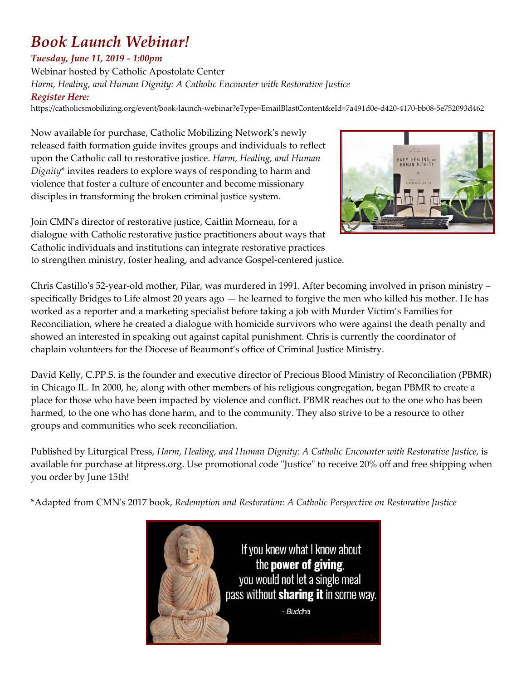# *Book Launch Webinar!*

### *Tuesday, June 11, 2019 - 1:00pm*

Webinar hosted by Catholic Apostolate Center *Harm, Healing, and Human Dignity: A Catholic Encounter with Restorative Justice Register Here:*

https://catholicsmobilizing.org/event/book-launch-webinar?eType=EmailBlastContent&eId=7a491d0e-d420-4170-bb08-5e752093d462

Now available for purchase, Catholic Mobilizing Network's newly released faith formation guide invites groups and individuals to reflect upon the Catholic call to restorative justice. *Harm, Healing, and Human Dignity*\* invites readers to explore ways of responding to harm and violence that foster a culture of encounter and become missionary disciples in transforming the broken criminal justice system.



Join CMN's director of restorative justice, Caitlin Morneau, for a dialogue with Catholic restorative justice practitioners about ways that Catholic individuals and institutions can integrate restorative practices to strengthen ministry, foster healing, and advance Gospel-centered justice.

Chris Castillo's 52-year-old mother, Pilar, was murdered in 1991. After becoming involved in prison ministry – specifically Bridges to Life almost 20 years ago — he learned to forgive the men who killed his mother. He has worked as a reporter and a marketing specialist before taking a job with Murder Victim's Families for Reconciliation, where he created a dialogue with homicide survivors who were against the death penalty and showed an interested in speaking out against capital punishment. Chris is currently the coordinator of chaplain volunteers for the Diocese of Beaumont's office of Criminal Justice Ministry.

David Kelly, C.PP.S. is the founder and executive director of Precious Blood Ministry of Reconciliation (PBMR) in Chicago IL. In 2000, he, along with other members of his religious congregation, began PBMR to create a place for those who have been impacted by violence and conflict. PBMR reaches out to the one who has been harmed, to the one who has done harm, and to the community. They also strive to be a resource to other groups and communities who seek reconciliation.

Published by Liturgical Press, *Harm, Healing, and Human Dignity: A Catholic Encounter with Restorative Justice,* is available for purchase at litpress.org. Use promotional code "Justice" to receive 20% off and free shipping when you order by June 15th!

\*Adapted from CMN's 2017 book, *Redemption and Restoration: A Catholic Perspective on Restorative Justice*